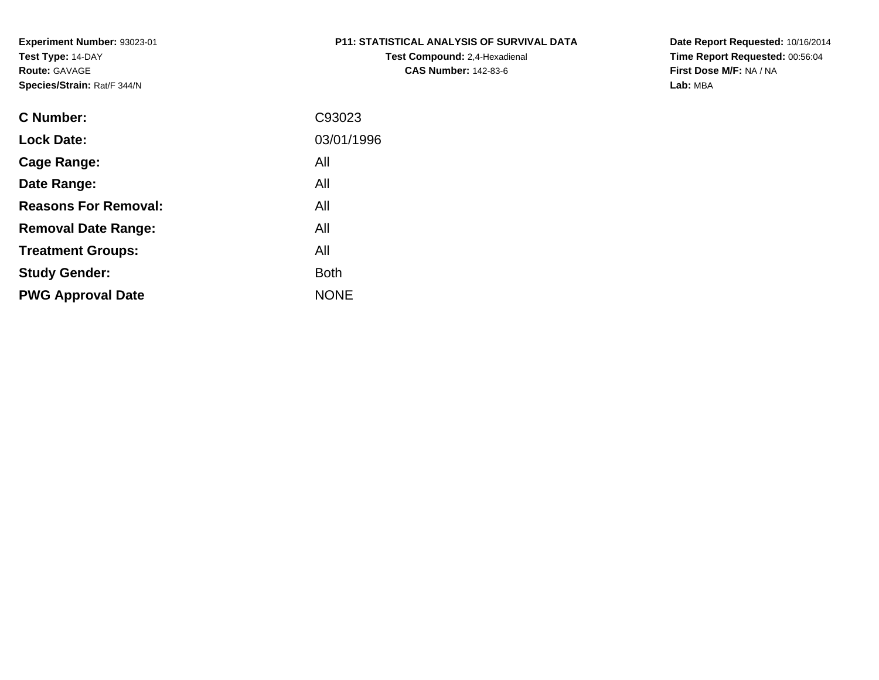# **P11: STATISTICAL ANALYSIS OF SURVIVAL DATA**

**Test Compound:** 2,4-Hexadienal **CAS Number:** 142-83-6

**Date Report Requested:** 10/16/2014 **Time Report Requested:** 00:56:04**First Dose M/F:** NA / NA**Lab:** MBA

| C93023      |
|-------------|
| 03/01/1996  |
| All         |
| All         |
| All         |
| All         |
| All         |
| <b>Both</b> |
| <b>NONE</b> |
|             |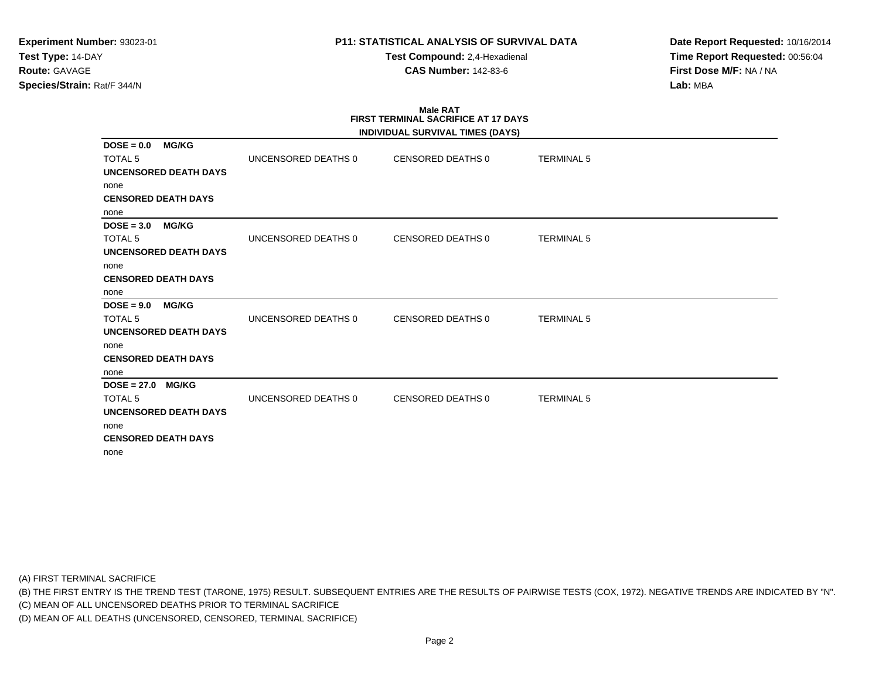**Test Compound:** 2,4-Hexadienal **CAS Number:** 142-83-6

**Date Report Requested:** 10/16/2014**Time Report Requested:** 00:56:04**First Dose M/F:** NA / NA**Lab:** MBA

#### **Male RAT FIRST TERMINAL SACRIFICE AT 17 DAYSINDIVIDUAL SURVIVAL TIMES (DAYS)**

|                               |                     | INDIVIDUAL SURVIVAL TIMES (DATS) |                   |  |
|-------------------------------|---------------------|----------------------------------|-------------------|--|
| <b>MG/KG</b><br>$DOSE = 0.0$  |                     |                                  |                   |  |
| <b>TOTAL 5</b>                | UNCENSORED DEATHS 0 | CENSORED DEATHS 0                | <b>TERMINAL 5</b> |  |
| UNCENSORED DEATH DAYS         |                     |                                  |                   |  |
| none                          |                     |                                  |                   |  |
| <b>CENSORED DEATH DAYS</b>    |                     |                                  |                   |  |
| none                          |                     |                                  |                   |  |
| <b>MG/KG</b><br>$DOSE = 3.0$  |                     |                                  |                   |  |
| <b>TOTAL 5</b>                | UNCENSORED DEATHS 0 | CENSORED DEATHS 0                | <b>TERMINAL 5</b> |  |
| UNCENSORED DEATH DAYS         |                     |                                  |                   |  |
| none                          |                     |                                  |                   |  |
| <b>CENSORED DEATH DAYS</b>    |                     |                                  |                   |  |
| none                          |                     |                                  |                   |  |
| $DOSE = 9.0$<br><b>MG/KG</b>  |                     |                                  |                   |  |
| <b>TOTAL 5</b>                | UNCENSORED DEATHS 0 | CENSORED DEATHS 0                | <b>TERMINAL 5</b> |  |
| <b>UNCENSORED DEATH DAYS</b>  |                     |                                  |                   |  |
| none                          |                     |                                  |                   |  |
| <b>CENSORED DEATH DAYS</b>    |                     |                                  |                   |  |
| none                          |                     |                                  |                   |  |
| $DOSE = 27.0$<br><b>MG/KG</b> |                     |                                  |                   |  |
| <b>TOTAL 5</b>                | UNCENSORED DEATHS 0 | CENSORED DEATHS 0                | <b>TERMINAL 5</b> |  |
| UNCENSORED DEATH DAYS         |                     |                                  |                   |  |
| none                          |                     |                                  |                   |  |
| <b>CENSORED DEATH DAYS</b>    |                     |                                  |                   |  |
| none                          |                     |                                  |                   |  |
|                               |                     |                                  |                   |  |

(A) FIRST TERMINAL SACRIFICE

(B) THE FIRST ENTRY IS THE TREND TEST (TARONE, 1975) RESULT. SUBSEQUENT ENTRIES ARE THE RESULTS OF PAIRWISE TESTS (COX, 1972). NEGATIVE TRENDS ARE INDICATED BY "N".

(C) MEAN OF ALL UNCENSORED DEATHS PRIOR TO TERMINAL SACRIFICE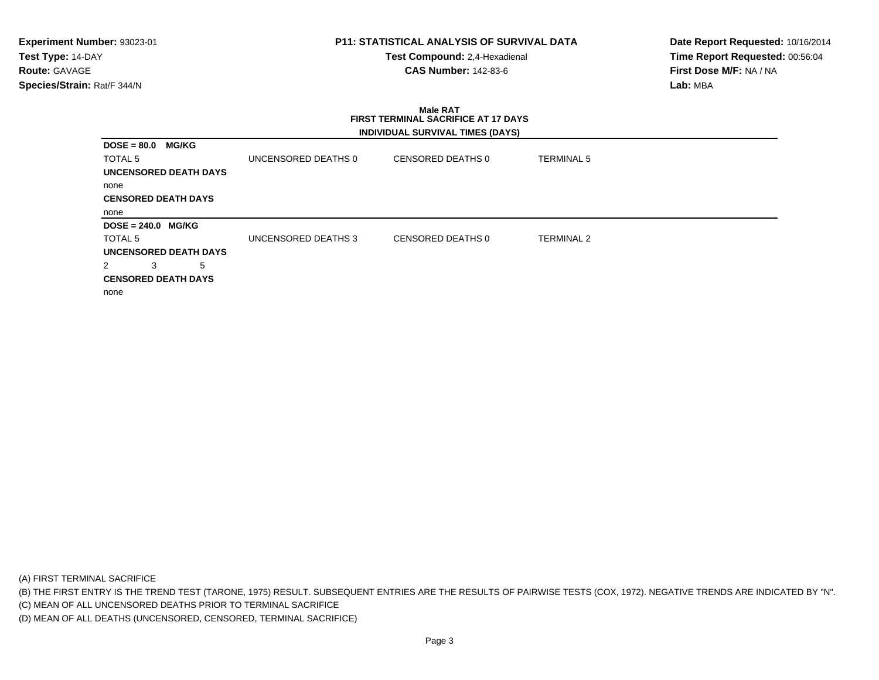### **P11: STATISTICAL ANALYSIS OF SURVIVAL DATA**

**Test Compound:** 2,4-Hexadienal **CAS Number:** 142-83-6

**Date Report Requested:** 10/16/2014**Time Report Requested:** 00:56:04**First Dose M/F:** NA / NA**Lab:** MBA

## **Male RAT FIRST TERMINAL SACRIFICE AT 17 DAYSINDIVIDUAL SURVIVAL TIMES (DAYS)**

| <b>DOSE = 80.0</b><br><b>MG/KG</b> |                     |                   |                   |
|------------------------------------|---------------------|-------------------|-------------------|
| TOTAL 5                            | UNCENSORED DEATHS 0 | CENSORED DEATHS 0 | <b>TERMINAL 5</b> |
| UNCENSORED DEATH DAYS              |                     |                   |                   |
| none                               |                     |                   |                   |
| <b>CENSORED DEATH DAYS</b>         |                     |                   |                   |
| none                               |                     |                   |                   |
|                                    |                     |                   |                   |
| DOSE = 240.0 MG/KG                 |                     |                   |                   |
| TOTAL 5                            | UNCENSORED DEATHS 3 | CENSORED DEATHS 0 | TERMINAL 2        |
| UNCENSORED DEATH DAYS              |                     |                   |                   |
| 3<br>5                             |                     |                   |                   |
| <b>CENSORED DEATH DAYS</b>         |                     |                   |                   |
| none                               |                     |                   |                   |

(A) FIRST TERMINAL SACRIFICE

(B) THE FIRST ENTRY IS THE TREND TEST (TARONE, 1975) RESULT. SUBSEQUENT ENTRIES ARE THE RESULTS OF PAIRWISE TESTS (COX, 1972). NEGATIVE TRENDS ARE INDICATED BY "N".

(C) MEAN OF ALL UNCENSORED DEATHS PRIOR TO TERMINAL SACRIFICE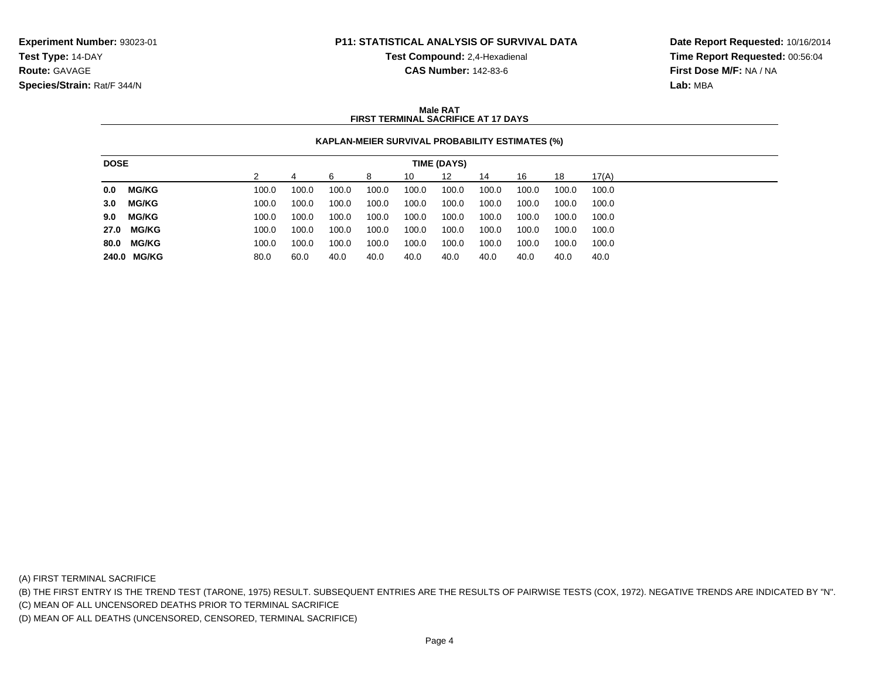**Test Compound:** 2,4-Hexadienal

**Date Report Requested:** 10/16/2014**Time Report Requested:** 00:56:04**First Dose M/F:** NA / NA**Lab:** MBA

#### **CAS Number:** 142-83-6

#### **Male RATFIRST TERMINAL SACRIFICE AT 17 DAYS**

### **KAPLAN-MEIER SURVIVAL PROBABILITY ESTIMATES (%)**

| <b>DOSE</b><br><b>TIME (DAYS)</b> |              |  |       |       |       |       |       |       |       |       |       |       |
|-----------------------------------|--------------|--|-------|-------|-------|-------|-------|-------|-------|-------|-------|-------|
|                                   |              |  |       |       |       | 8     | 10    | 12    | 14    | 16    | 18    | 17(A) |
| 0.0                               | <b>MG/KG</b> |  | 100.0 | 100.0 | 100.0 | 100.0 | 100.0 | 100.0 | 100.0 | 100.0 | 100.0 | 100.0 |
| 3.0                               | MG/KG        |  | 100.0 | 100.0 | 100.0 | 100.0 | 100.0 | 100.0 | 100.0 | 100.0 | 100.0 | 100.0 |
| 9.0                               | <b>MG/KG</b> |  | 100.0 | 100.0 | 100.0 | 100.0 | 100.0 | 100.0 | 100.0 | 100.0 | 100.0 | 100.0 |
|                                   | 27.0 MG/KG   |  | 100.0 | 100.0 | 100.0 | 100.0 | 100.0 | 100.0 | 100.0 | 100.0 | 100.0 | 100.0 |
| 80.0                              | <b>MG/KG</b> |  | 100.0 | 100.0 | 100.0 | 100.0 | 100.0 | 100.0 | 100.0 | 100.0 | 100.0 | 100.0 |
|                                   | 240.0 MG/KG  |  | 80.0  | 60.0  | 40.0  | 40.0  | 40.0  | 40.0  | 40.0  | 40.0  | 40.0  | 40.0  |

(A) FIRST TERMINAL SACRIFICE

(B) THE FIRST ENTRY IS THE TREND TEST (TARONE, 1975) RESULT. SUBSEQUENT ENTRIES ARE THE RESULTS OF PAIRWISE TESTS (COX, 1972). NEGATIVE TRENDS ARE INDICATED BY "N".

(C) MEAN OF ALL UNCENSORED DEATHS PRIOR TO TERMINAL SACRIFICE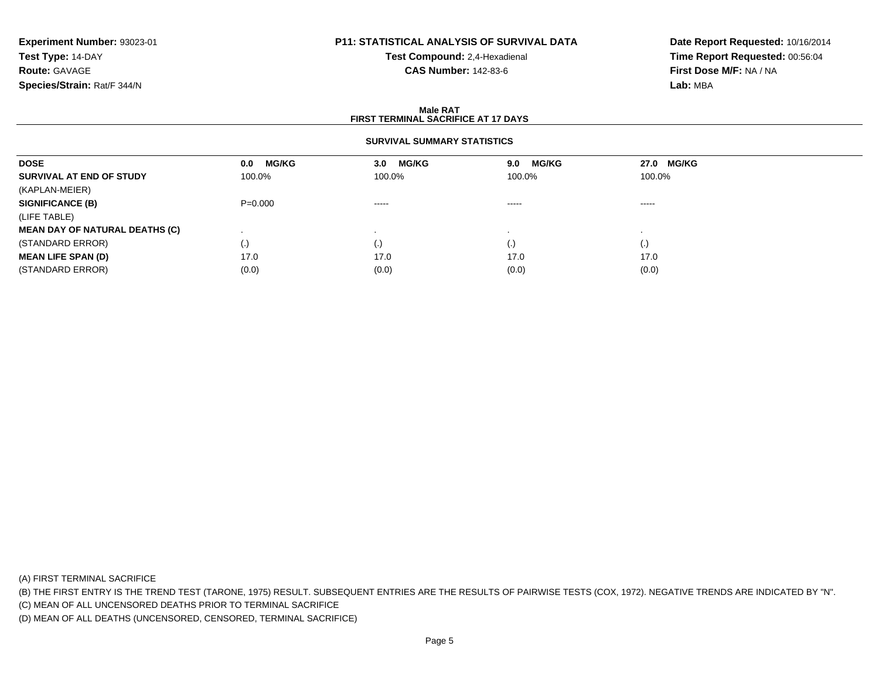## **P11: STATISTICAL ANALYSIS OF SURVIVAL DATA**

**Test Compound:** 2,4-Hexadienal **CAS Number:** 142-83-6

**Date Report Requested:** 10/16/2014**Time Report Requested:** 00:56:04**First Dose M/F:** NA / NA**Lab:** MBA

#### **Male RATFIRST TERMINAL SACRIFICE AT 17 DAYS**

#### **SURVIVAL SUMMARY STATISTICS**

| <b>DOSE</b>                           | <b>MG/KG</b><br>0.0    | <b>MG/KG</b><br>3.0 | <b>MG/KG</b><br>9.0 | 27.0 MG/KG |  |
|---------------------------------------|------------------------|---------------------|---------------------|------------|--|
| SURVIVAL AT END OF STUDY              | 100.0%                 | 100.0%              | 100.0%              | 100.0%     |  |
| (KAPLAN-MEIER)                        |                        |                     |                     |            |  |
| <b>SIGNIFICANCE (B)</b>               | $P = 0.000$            | $- - - - -$         | $\cdots$            | $\cdots$   |  |
| (LIFE TABLE)                          |                        |                     |                     |            |  |
| <b>MEAN DAY OF NATURAL DEATHS (C)</b> |                        |                     |                     |            |  |
| (STANDARD ERROR)                      | $\left( \cdot \right)$ | (.)                 | $\cdot$             |            |  |
| <b>MEAN LIFE SPAN (D)</b>             | 17.0                   | 17.0                | 17.0                | 17.0       |  |
| (STANDARD ERROR)                      | (0.0)                  | (0.0)               | (0.0)               | (0.0)      |  |

(A) FIRST TERMINAL SACRIFICE

(B) THE FIRST ENTRY IS THE TREND TEST (TARONE, 1975) RESULT. SUBSEQUENT ENTRIES ARE THE RESULTS OF PAIRWISE TESTS (COX, 1972). NEGATIVE TRENDS ARE INDICATED BY "N".

(C) MEAN OF ALL UNCENSORED DEATHS PRIOR TO TERMINAL SACRIFICE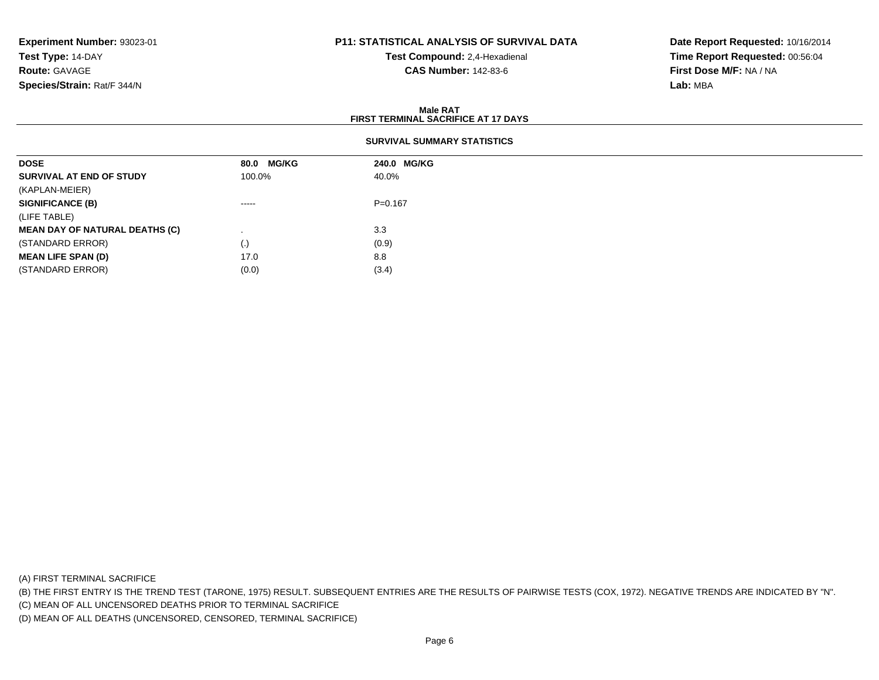## **P11: STATISTICAL ANALYSIS OF SURVIVAL DATA**

**Test Compound:** 2,4-Hexadienal **CAS Number:** 142-83-6

**Date Report Requested:** 10/16/2014**Time Report Requested:** 00:56:04**First Dose M/F:** NA / NA**Lab:** MBA

#### **Male RATFIRST TERMINAL SACRIFICE AT 17 DAYS**

| <b>DOSE</b>                           | 80.0 MG/KG | 240.0 MG/KG |
|---------------------------------------|------------|-------------|
| SURVIVAL AT END OF STUDY              | 100.0%     | 40.0%       |
| (KAPLAN-MEIER)                        |            |             |
| <b>SIGNIFICANCE (B)</b>               | $\cdots$   | $P = 0.167$ |
| (LIFE TABLE)                          |            |             |
| <b>MEAN DAY OF NATURAL DEATHS (C)</b> |            | 3.3         |
| (STANDARD ERROR)                      | (.)        | (0.9)       |
| <b>MEAN LIFE SPAN (D)</b>             | 17.0       | 8.8         |
| (STANDARD ERROR)                      | (0.0)      | (3.4)       |

(A) FIRST TERMINAL SACRIFICE

(B) THE FIRST ENTRY IS THE TREND TEST (TARONE, 1975) RESULT. SUBSEQUENT ENTRIES ARE THE RESULTS OF PAIRWISE TESTS (COX, 1972). NEGATIVE TRENDS ARE INDICATED BY "N".

(C) MEAN OF ALL UNCENSORED DEATHS PRIOR TO TERMINAL SACRIFICE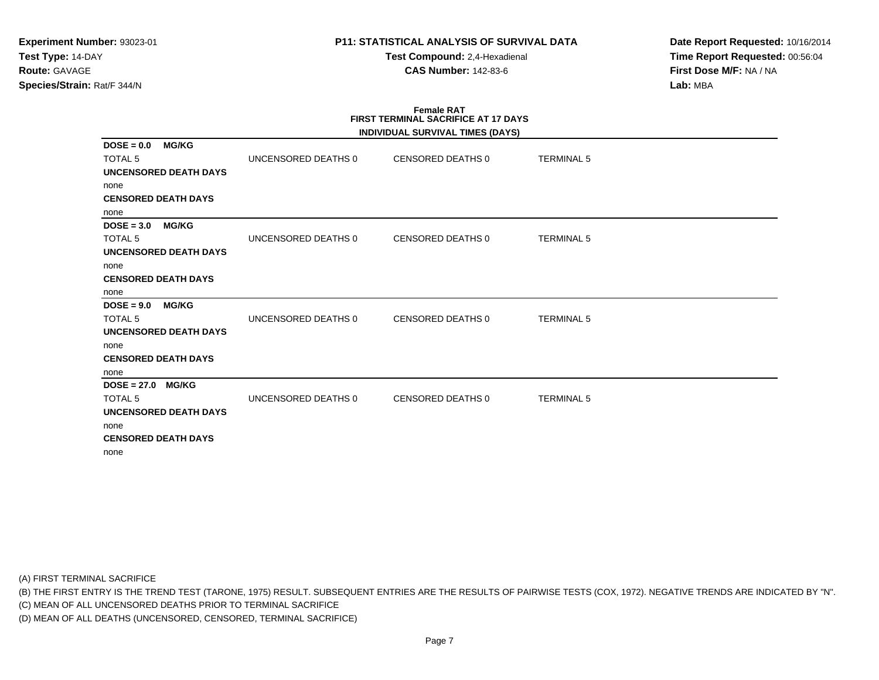**Test Compound:** 2,4-Hexadienal **CAS Number:** 142-83-6

**Date Report Requested:** 10/16/2014**Time Report Requested:** 00:56:04**First Dose M/F:** NA / NA**Lab:** MBA

#### **Female RAT FIRST TERMINAL SACRIFICE AT 17 DAYSINDIVIDUAL SURVIVAL TIMES (DAYS)**

|                                                |                     | <b>INDIVIDUAL SURVIVAL TIMES (DATS)</b> |                   |
|------------------------------------------------|---------------------|-----------------------------------------|-------------------|
| <b>MG/KG</b><br>$DOSE = 0.0$<br><b>TOTAL 5</b> | UNCENSORED DEATHS 0 | CENSORED DEATHS 0                       | <b>TERMINAL 5</b> |
| <b>UNCENSORED DEATH DAYS</b>                   |                     |                                         |                   |
| none                                           |                     |                                         |                   |
| <b>CENSORED DEATH DAYS</b>                     |                     |                                         |                   |
| none                                           |                     |                                         |                   |
| <b>MG/KG</b><br>$DOSE = 3.0$                   |                     |                                         |                   |
| <b>TOTAL 5</b>                                 | UNCENSORED DEATHS 0 | CENSORED DEATHS 0                       | <b>TERMINAL 5</b> |
| <b>UNCENSORED DEATH DAYS</b>                   |                     |                                         |                   |
| none                                           |                     |                                         |                   |
| <b>CENSORED DEATH DAYS</b>                     |                     |                                         |                   |
| none                                           |                     |                                         |                   |
| $DOSE = 9.0$ MG/KG                             |                     |                                         |                   |
| <b>TOTAL 5</b>                                 | UNCENSORED DEATHS 0 | CENSORED DEATHS 0                       | <b>TERMINAL 5</b> |
| <b>UNCENSORED DEATH DAYS</b>                   |                     |                                         |                   |
| none                                           |                     |                                         |                   |
| <b>CENSORED DEATH DAYS</b>                     |                     |                                         |                   |
| none                                           |                     |                                         |                   |
| $DOSE = 27.0$ MG/KG                            |                     |                                         |                   |
| <b>TOTAL 5</b>                                 | UNCENSORED DEATHS 0 | CENSORED DEATHS 0                       | <b>TERMINAL 5</b> |
| <b>UNCENSORED DEATH DAYS</b>                   |                     |                                         |                   |
| none                                           |                     |                                         |                   |
| <b>CENSORED DEATH DAYS</b>                     |                     |                                         |                   |
| none                                           |                     |                                         |                   |

(A) FIRST TERMINAL SACRIFICE

(B) THE FIRST ENTRY IS THE TREND TEST (TARONE, 1975) RESULT. SUBSEQUENT ENTRIES ARE THE RESULTS OF PAIRWISE TESTS (COX, 1972). NEGATIVE TRENDS ARE INDICATED BY "N".

(C) MEAN OF ALL UNCENSORED DEATHS PRIOR TO TERMINAL SACRIFICE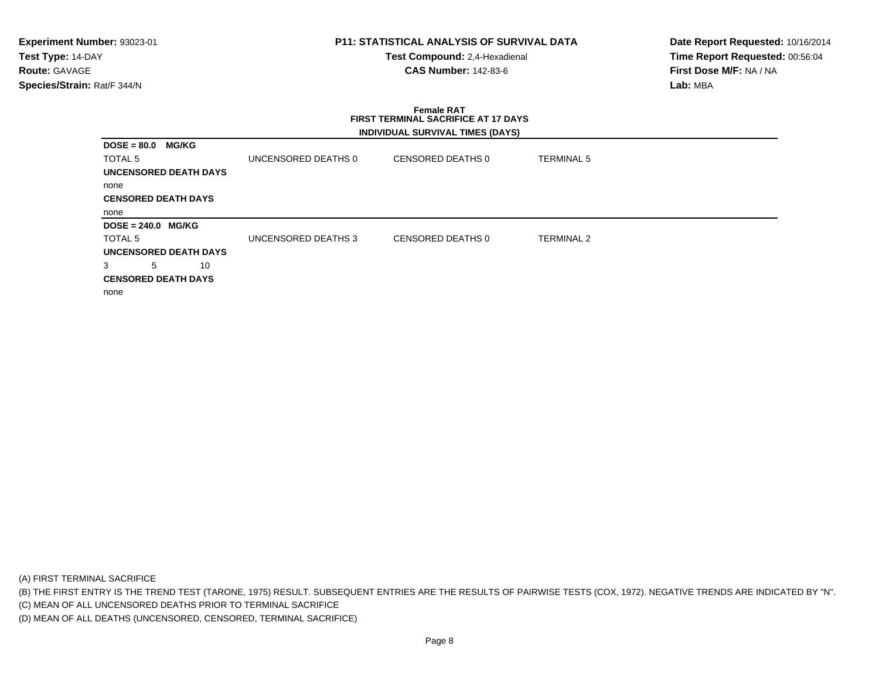#### **P11: STATISTICAL ANALYSIS OF SURVIVAL DATA**

**Test Compound:** 2,4-Hexadienal **CAS Number:** 142-83-6

**Date Report Requested:** 10/16/2014**Time Report Requested:** 00:56:04**First Dose M/F:** NA / NA**Lab:** MBA

# **Female RAT FIRST TERMINAL SACRIFICE AT 17 DAYSINDIVIDUAL SURVIVAL TIMES (DAYS)**

| <b>DOSE = 80.0</b><br><b>MG/KG</b> |                     |                   |                   |
|------------------------------------|---------------------|-------------------|-------------------|
| TOTAL 5                            | UNCENSORED DEATHS 0 | CENSORED DEATHS 0 | <b>TERMINAL 5</b> |
| UNCENSORED DEATH DAYS              |                     |                   |                   |
| none                               |                     |                   |                   |
| <b>CENSORED DEATH DAYS</b>         |                     |                   |                   |
| none                               |                     |                   |                   |
|                                    |                     |                   |                   |
| <b>DOSE = 240.0 MG/KG</b>          |                     |                   |                   |
| TOTAL 5                            | UNCENSORED DEATHS 3 | CENSORED DEATHS 0 | <b>TERMINAL 2</b> |
| UNCENSORED DEATH DAYS              |                     |                   |                   |
| 5<br>10                            |                     |                   |                   |
| <b>CENSORED DEATH DAYS</b>         |                     |                   |                   |

(A) FIRST TERMINAL SACRIFICE

(B) THE FIRST ENTRY IS THE TREND TEST (TARONE, 1975) RESULT. SUBSEQUENT ENTRIES ARE THE RESULTS OF PAIRWISE TESTS (COX, 1972). NEGATIVE TRENDS ARE INDICATED BY "N".

(C) MEAN OF ALL UNCENSORED DEATHS PRIOR TO TERMINAL SACRIFICE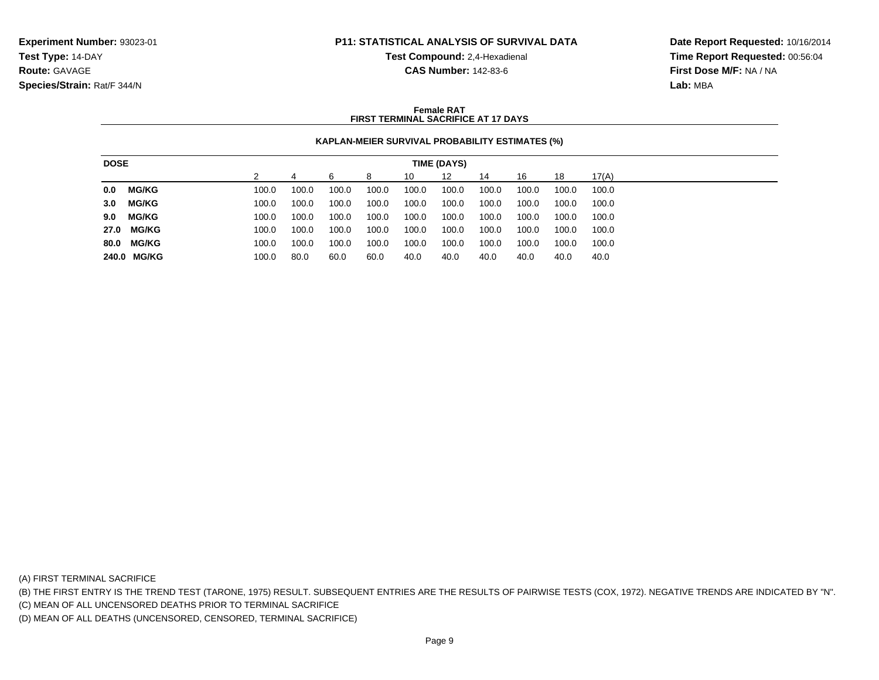**Test Compound:** 2,4-Hexadienal

**CAS Number:** 142-83-6

**Date Report Requested:** 10/16/2014**Time Report Requested:** 00:56:04**First Dose M/F:** NA / NA**Lab:** MBA

#### **Female RATFIRST TERMINAL SACRIFICE AT 17 DAYS**

#### **KAPLAN-MEIER SURVIVAL PROBABILITY ESTIMATES (%)**

| <b>DOSE</b><br>TIME (DAYS) |              |  |       |       |       |       |       |       |       |       |       |       |
|----------------------------|--------------|--|-------|-------|-------|-------|-------|-------|-------|-------|-------|-------|
|                            |              |  |       |       |       | 8     | 10    | 12    | 14    | 16    | 18    | 17(A) |
| 0.0                        | <b>MG/KG</b> |  | 100.0 | 100.0 | 100.0 | 100.0 | 100.0 | 100.0 | 100.0 | 100.0 | 100.0 | 100.0 |
| 3.0                        | MG/KG        |  | 100.0 | 100.0 | 100.0 | 100.0 | 100.0 | 100.0 | 100.0 | 100.0 | 100.0 | 100.0 |
| 9.0                        | <b>MG/KG</b> |  | 100.0 | 100.0 | 100.0 | 100.0 | 100.0 | 100.0 | 100.0 | 100.0 | 100.0 | 100.0 |
|                            | 27.0 MG/KG   |  | 100.0 | 100.0 | 100.0 | 100.0 | 100.0 | 100.0 | 100.0 | 100.0 | 100.0 | 100.0 |
| 80.0                       | <b>MG/KG</b> |  | 100.0 | 100.0 | 100.0 | 100.0 | 100.0 | 100.0 | 100.0 | 100.0 | 100.0 | 100.0 |
|                            | 240.0 MG/KG  |  | 100.0 | 80.0  | 60.0  | 60.0  | 40.0  | 40.0  | 40.0  | 40.0  | 40.0  | 40.0  |

(A) FIRST TERMINAL SACRIFICE

(B) THE FIRST ENTRY IS THE TREND TEST (TARONE, 1975) RESULT. SUBSEQUENT ENTRIES ARE THE RESULTS OF PAIRWISE TESTS (COX, 1972). NEGATIVE TRENDS ARE INDICATED BY "N".

(C) MEAN OF ALL UNCENSORED DEATHS PRIOR TO TERMINAL SACRIFICE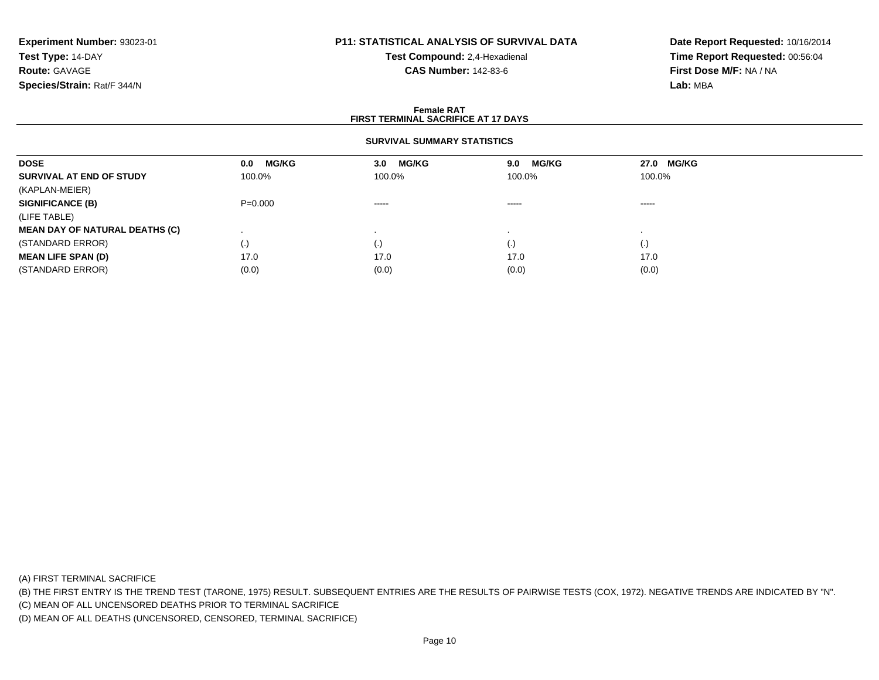## **P11: STATISTICAL ANALYSIS OF SURVIVAL DATA**

**Test Compound:** 2,4-Hexadienal **CAS Number:** 142-83-6

**Date Report Requested:** 10/16/2014**Time Report Requested:** 00:56:04**First Dose M/F:** NA / NA**Lab:** MBA

#### **Female RATFIRST TERMINAL SACRIFICE AT 17 DAYS**

### **SURVIVAL SUMMARY STATISTICS**

| <b>DOSE</b>                           | <b>MG/KG</b><br>0.0 | <b>MG/KG</b><br>3.0    | <b>MG/KG</b><br>9.0 | 27.0 MG/KG |  |
|---------------------------------------|---------------------|------------------------|---------------------|------------|--|
| SURVIVAL AT END OF STUDY              | 100.0%              | 100.0%                 | 100.0%              | 100.0%     |  |
| (KAPLAN-MEIER)                        |                     |                        |                     |            |  |
| <b>SIGNIFICANCE (B)</b>               | $P = 0.000$         | $\cdots \cdots \cdots$ | $\cdots$            | -----      |  |
| (LIFE TABLE)                          |                     |                        |                     |            |  |
| <b>MEAN DAY OF NATURAL DEATHS (C)</b> |                     |                        |                     |            |  |
| (STANDARD ERROR)                      | $\left( . \right)$  | (.)                    | $\cdot$             | (.)        |  |
| <b>MEAN LIFE SPAN (D)</b>             | 17.0                | 17.0                   | 17.0                | 17.0       |  |
| (STANDARD ERROR)                      | (0.0)               | (0.0)                  | (0.0)               | (0.0)      |  |

(A) FIRST TERMINAL SACRIFICE

(B) THE FIRST ENTRY IS THE TREND TEST (TARONE, 1975) RESULT. SUBSEQUENT ENTRIES ARE THE RESULTS OF PAIRWISE TESTS (COX, 1972). NEGATIVE TRENDS ARE INDICATED BY "N".

(C) MEAN OF ALL UNCENSORED DEATHS PRIOR TO TERMINAL SACRIFICE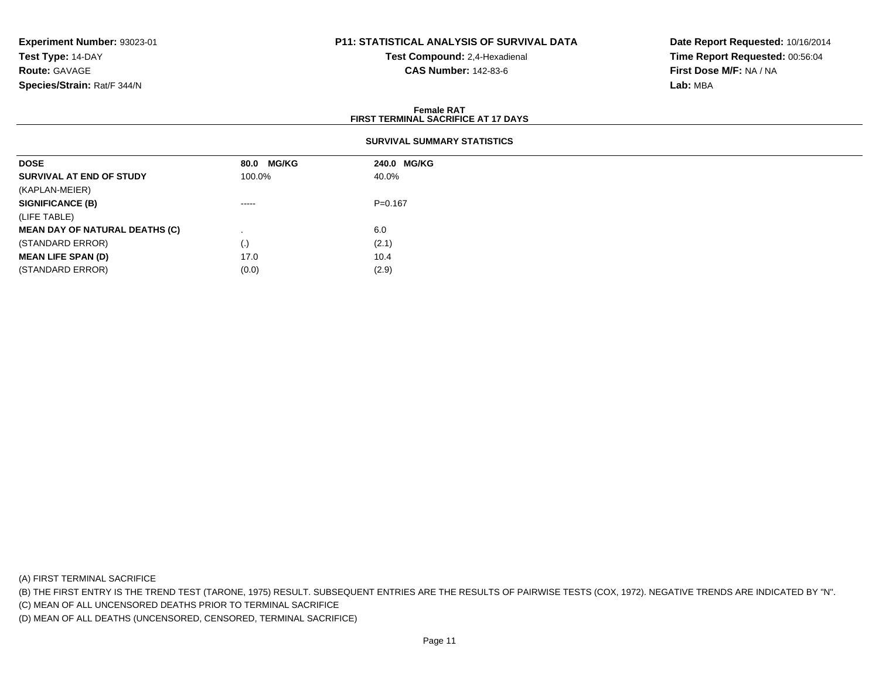### **P11: STATISTICAL ANALYSIS OF SURVIVAL DATA**

**Test Compound:** 2,4-Hexadienal **CAS Number:** 142-83-6

**Date Report Requested:** 10/16/2014**Time Report Requested:** 00:56:04**First Dose M/F:** NA / NA**Lab:** MBA

#### **Female RATFIRST TERMINAL SACRIFICE AT 17 DAYS**

| <b>DOSE</b>                           | 80.0 MG/KG  | 240.0 MG/KG |
|---------------------------------------|-------------|-------------|
| SURVIVAL AT END OF STUDY              | 100.0%      | 40.0%       |
| (KAPLAN-MEIER)                        |             |             |
| <b>SIGNIFICANCE (B)</b>               | $- - - - -$ | $P = 0.167$ |
| (LIFE TABLE)                          |             |             |
| <b>MEAN DAY OF NATURAL DEATHS (C)</b> |             | 6.0         |
| (STANDARD ERROR)                      | (.)         | (2.1)       |
| <b>MEAN LIFE SPAN (D)</b>             | 17.0        | 10.4        |
| (STANDARD ERROR)                      | (0.0)       | (2.9)       |

(A) FIRST TERMINAL SACRIFICE

(B) THE FIRST ENTRY IS THE TREND TEST (TARONE, 1975) RESULT. SUBSEQUENT ENTRIES ARE THE RESULTS OF PAIRWISE TESTS (COX, 1972). NEGATIVE TRENDS ARE INDICATED BY "N".

(C) MEAN OF ALL UNCENSORED DEATHS PRIOR TO TERMINAL SACRIFICE